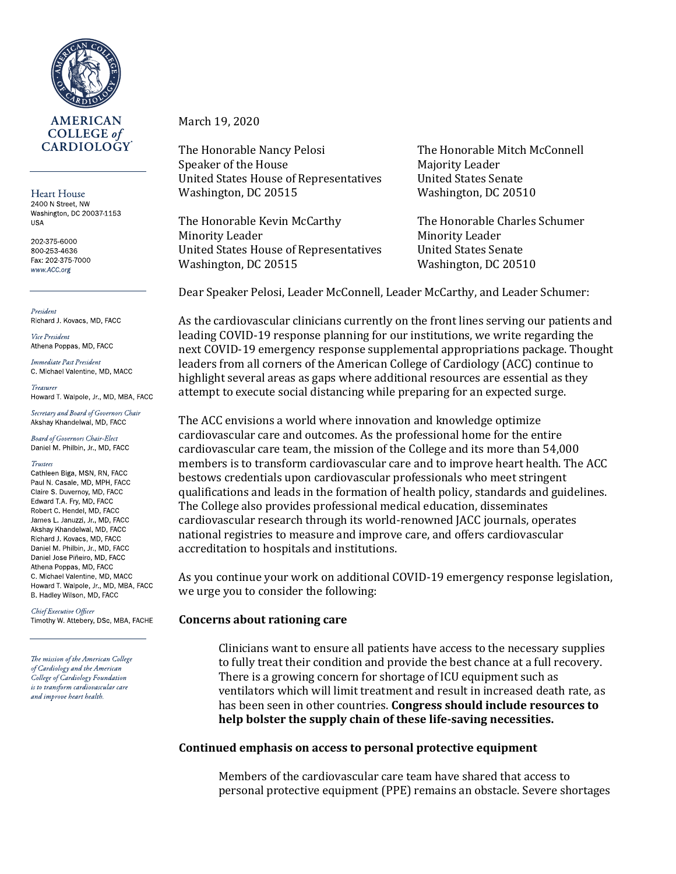

Heart House 2400 N Street, NW Washington, DC 20037 1153 **USA** 

202 375 6000 800-253-4636 Fax: 202 375 7000 www.ACC.org

President Richard J Kovacs, MD, FACC

Vice President Athena Poppas, MD, FACC

Immediate Past President C. Michael Valentine, MD, MACC

Howard T Walpole, Jr., MD, MBA, FACC

Secretary and Board of Governors Chair Akshay Khandelwal, MD, FACC

**Board of Governors Chair-Elect** Daniel M. Philbin, Jr., MD, FACC

#### **Trustees**

Cathleen Biga, MSN, RN, FACC Paul N. Casale, MD, MPH, FACC Claire S. Duvernoy, MD, FACC Edward T.A. Fry, MD, FACC Robert C. Hendel, MD, FACC James L. Januzzi, Jr., MD, FACC Akshay Khandelwal, MD, FACC Richard J. Kovacs, MD, FACC Daniel M. Philbin, Jr., MD, FACC Daniel Jose Piñeiro, MD, FACC Athena Poppas, MD, FACC C. Michael Valentine, MD, MACC Howard T. Walpole, Jr., MD, MBA, FACC B. Hadley Wilson, MD, FACC

Chief Executive Officer Timothy W. Attebery, DSc, MBA, FACHE

The mission of the American College of Cardiology and the American College of Cardiology Foundation is to transform cardiovascular care and improve heart health.

### March 19, 2020

The Honorable Nancy Pelosi The Honorable Mitch McConnell Speaker of the House Majority Leader United States House of Representatives United States Senate Washington, DC 20515 Washington, DC 20510

The Honorable Kevin McCarthy The Honorable Charles Schumer Minority Leader Minority Leader United States House of Representatives United States Senate Washington, DC 20515 Washington, DC 20510

Dear Speaker Pelosi, Leader McConnell, Leader McCarthy, and Leader Schumer:

As the cardiovascular clinicians currently on the front lines serving our patients and leading COVID-19 response planning for our institutions, we write regarding the next COVID-19 emergency response supplemental appropriations package. Thought leaders from all corners of the American College of Cardiology (ACC) continue to highlight several areas as gaps where additional resources are essential as they attempt to execute social distancing while preparing for an expected surge.

The ACC envisions a world where innovation and knowledge optimize cardiovascular care and outcomes. As the professional home for the entire cardiovascular care team, the mission of the College and its more than 54,000 members is to transform cardiovascular care and to improve heart health. The ACC bestows credentials upon cardiovascular professionals who meet stringent qualifications and leads in the formation of health policy, standards and guidelines. The College also provides professional medical education, disseminates cardiovascular research through its world-renowned JACC journals, operates national registries to measure and improve care, and offers cardiovascular accreditation to hospitals and institutions.

As you continue your work on additional COVID-19 emergency response legislation, we urge you to consider the following:

#### **Concerns about rationing care**

Clinicians want to ensure all patients have access to the necessary supplies to fully treat their condition and provide the best chance at a full recovery. There is a growing concern for shortage of ICU equipment such as ventilators which will limit treatment and result in increased death rate, as has been seen in other countries. **Congress should include resources to help bolster the supply chain of these life-saving necessities.**

#### **Continued emphasis on access to personal protective equipment**

Members of the cardiovascular care team have shared that access to personal protective equipment (PPE) remains an obstacle. Severe shortages